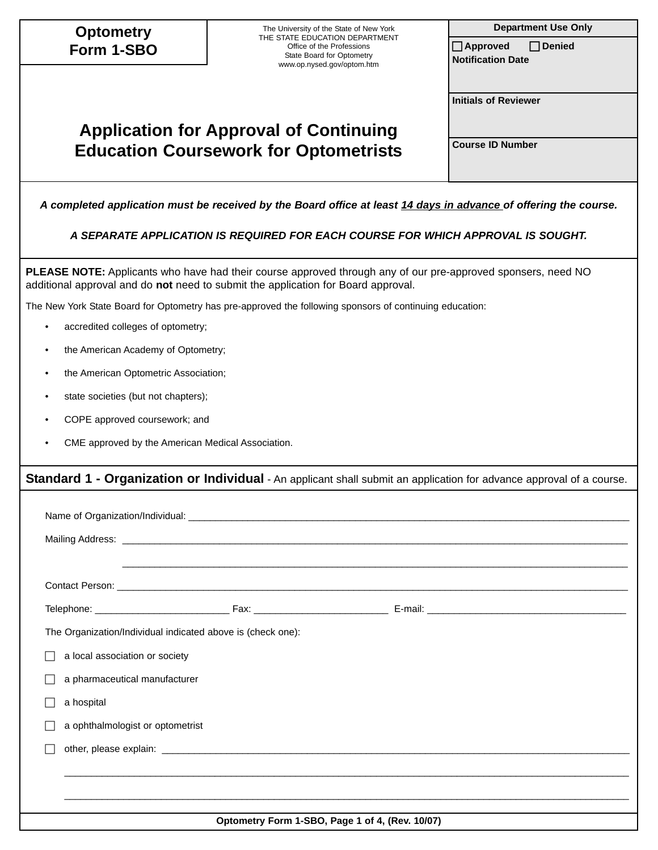| <b>Optometry</b>                                            | The University of the State of New York                                                                                                                                                                  | <b>Department Use Only</b> |  |  |  |  |  |  |  |  |
|-------------------------------------------------------------|----------------------------------------------------------------------------------------------------------------------------------------------------------------------------------------------------------|----------------------------|--|--|--|--|--|--|--|--|
| Form 1-SBO                                                  | THE STATE EDUCATION DEPARTMENT<br>Office of the Professions<br>State Board for Optometry                                                                                                                 |                            |  |  |  |  |  |  |  |  |
|                                                             | www.op.nysed.gov/optom.htm                                                                                                                                                                               | <b>Notification Date</b>   |  |  |  |  |  |  |  |  |
|                                                             | <b>Initials of Reviewer</b>                                                                                                                                                                              |                            |  |  |  |  |  |  |  |  |
|                                                             | <b>Application for Approval of Continuing</b>                                                                                                                                                            |                            |  |  |  |  |  |  |  |  |
|                                                             | <b>Education Coursework for Optometrists</b>                                                                                                                                                             | <b>Course ID Number</b>    |  |  |  |  |  |  |  |  |
|                                                             |                                                                                                                                                                                                          |                            |  |  |  |  |  |  |  |  |
|                                                             | A completed application must be received by the Board office at least 14 days in advance of offering the course.                                                                                         |                            |  |  |  |  |  |  |  |  |
|                                                             | A SEPARATE APPLICATION IS REQUIRED FOR EACH COURSE FOR WHICH APPROVAL IS SOUGHT.                                                                                                                         |                            |  |  |  |  |  |  |  |  |
|                                                             | <b>PLEASE NOTE:</b> Applicants who have had their course approved through any of our pre-approved sponsers, need NO<br>additional approval and do not need to submit the application for Board approval. |                            |  |  |  |  |  |  |  |  |
|                                                             | The New York State Board for Optometry has pre-approved the following sponsors of continuing education:                                                                                                  |                            |  |  |  |  |  |  |  |  |
| $\bullet$                                                   | accredited colleges of optometry;                                                                                                                                                                        |                            |  |  |  |  |  |  |  |  |
| $\bullet$                                                   | the American Academy of Optometry;                                                                                                                                                                       |                            |  |  |  |  |  |  |  |  |
| the American Optometric Association;                        |                                                                                                                                                                                                          |                            |  |  |  |  |  |  |  |  |
| state societies (but not chapters);<br>٠                    |                                                                                                                                                                                                          |                            |  |  |  |  |  |  |  |  |
| COPE approved coursework; and                               |                                                                                                                                                                                                          |                            |  |  |  |  |  |  |  |  |
| CME approved by the American Medical Association.           |                                                                                                                                                                                                          |                            |  |  |  |  |  |  |  |  |
|                                                             | Standard 1 - Organization or Individual - An applicant shall submit an application for advance approval of a course.                                                                                     |                            |  |  |  |  |  |  |  |  |
|                                                             |                                                                                                                                                                                                          |                            |  |  |  |  |  |  |  |  |
|                                                             |                                                                                                                                                                                                          |                            |  |  |  |  |  |  |  |  |
|                                                             |                                                                                                                                                                                                          |                            |  |  |  |  |  |  |  |  |
|                                                             |                                                                                                                                                                                                          |                            |  |  |  |  |  |  |  |  |
|                                                             |                                                                                                                                                                                                          |                            |  |  |  |  |  |  |  |  |
| The Organization/Individual indicated above is (check one): |                                                                                                                                                                                                          |                            |  |  |  |  |  |  |  |  |
| a local association or society                              |                                                                                                                                                                                                          |                            |  |  |  |  |  |  |  |  |
| a pharmaceutical manufacturer                               |                                                                                                                                                                                                          |                            |  |  |  |  |  |  |  |  |
| a hospital                                                  |                                                                                                                                                                                                          |                            |  |  |  |  |  |  |  |  |
| a ophthalmologist or optometrist                            |                                                                                                                                                                                                          |                            |  |  |  |  |  |  |  |  |
|                                                             |                                                                                                                                                                                                          |                            |  |  |  |  |  |  |  |  |
|                                                             |                                                                                                                                                                                                          |                            |  |  |  |  |  |  |  |  |
|                                                             |                                                                                                                                                                                                          |                            |  |  |  |  |  |  |  |  |
|                                                             | Optometry Form 1-SBO, Page 1 of 4, (Rev. 10/07)                                                                                                                                                          |                            |  |  |  |  |  |  |  |  |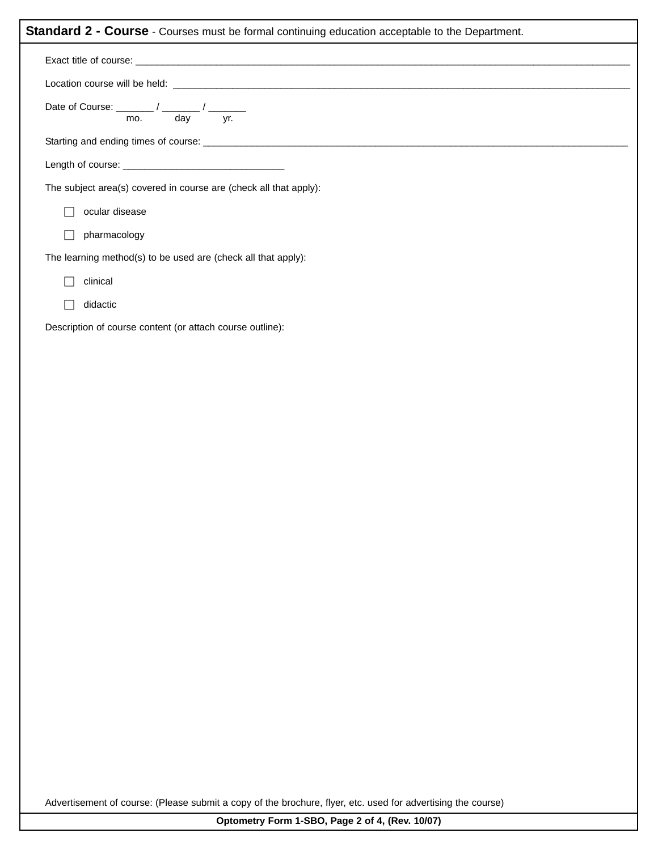|        | Date of Course: $\frac{1}{\sqrt{1-\frac{1}{\sqrt{1-\frac{1}{\sqrt{1-\frac{1}{\sqrt{1-\frac{1}{\sqrt{1-\frac{1}{\sqrt{1-\frac{1}{\sqrt{1-\frac{1}{\sqrt{1-\frac{1}{\sqrt{1-\frac{1}{\sqrt{1-\frac{1}{\sqrt{1-\frac{1}{\sqrt{1-\frac{1}{\sqrt{1-\frac{1}{\sqrt{1-\frac{1}{\sqrt{1-\frac{1}{\sqrt{1-\frac{1}{\sqrt{1-\frac{1}{\sqrt{1-\frac{1}{\sqrt{1-\frac{1}{\sqrt{1-\frac{1}{\sqrt{1-\frac{1}{\sqrt{1-\frac{1}{\$ |  |  |  |  |
|--------|--------------------------------------------------------------------------------------------------------------------------------------------------------------------------------------------------------------------------------------------------------------------------------------------------------------------------------------------------------------------------------------------------------------------|--|--|--|--|
|        |                                                                                                                                                                                                                                                                                                                                                                                                                    |  |  |  |  |
|        |                                                                                                                                                                                                                                                                                                                                                                                                                    |  |  |  |  |
|        | The subject area(s) covered in course are (check all that apply):                                                                                                                                                                                                                                                                                                                                                  |  |  |  |  |
| $\Box$ | ocular disease                                                                                                                                                                                                                                                                                                                                                                                                     |  |  |  |  |
| $\Box$ | pharmacology                                                                                                                                                                                                                                                                                                                                                                                                       |  |  |  |  |
|        | The learning method(s) to be used are (check all that apply):                                                                                                                                                                                                                                                                                                                                                      |  |  |  |  |
| П      | clinical                                                                                                                                                                                                                                                                                                                                                                                                           |  |  |  |  |
| П      | didactic                                                                                                                                                                                                                                                                                                                                                                                                           |  |  |  |  |
|        | Description of course content (or attach course outline):                                                                                                                                                                                                                                                                                                                                                          |  |  |  |  |
|        |                                                                                                                                                                                                                                                                                                                                                                                                                    |  |  |  |  |
|        |                                                                                                                                                                                                                                                                                                                                                                                                                    |  |  |  |  |
|        |                                                                                                                                                                                                                                                                                                                                                                                                                    |  |  |  |  |
|        |                                                                                                                                                                                                                                                                                                                                                                                                                    |  |  |  |  |
|        |                                                                                                                                                                                                                                                                                                                                                                                                                    |  |  |  |  |
|        |                                                                                                                                                                                                                                                                                                                                                                                                                    |  |  |  |  |
|        |                                                                                                                                                                                                                                                                                                                                                                                                                    |  |  |  |  |
|        |                                                                                                                                                                                                                                                                                                                                                                                                                    |  |  |  |  |
|        |                                                                                                                                                                                                                                                                                                                                                                                                                    |  |  |  |  |
|        |                                                                                                                                                                                                                                                                                                                                                                                                                    |  |  |  |  |
|        |                                                                                                                                                                                                                                                                                                                                                                                                                    |  |  |  |  |

Advertisement of course: (Please submit a copy of the brochure, flyer, etc. used for advertising the course)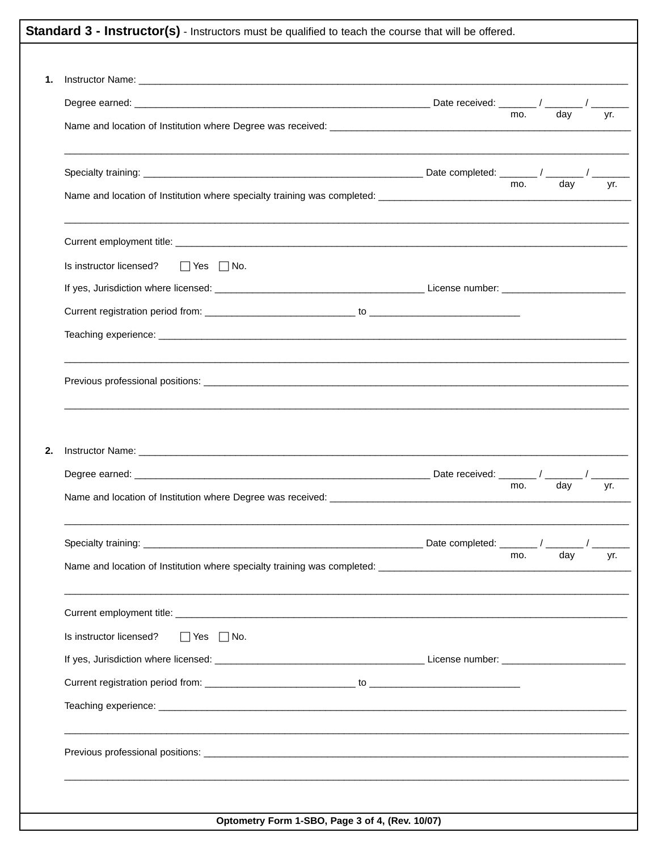|    | Standard 3 - Instructor(s) - Instructors must be qualified to teach the course that will be offered.                                                                                                                                 |     |     |     |
|----|--------------------------------------------------------------------------------------------------------------------------------------------------------------------------------------------------------------------------------------|-----|-----|-----|
|    |                                                                                                                                                                                                                                      |     |     |     |
| 1. |                                                                                                                                                                                                                                      |     |     |     |
|    |                                                                                                                                                                                                                                      | mo. | day | vr. |
|    | Name and location of Institution where Degree was received: <b>All and Strategie and Strategie and Strategie and Strategie and Strategie and Strategie and Strategie and Strategie and Strategie and Strategie and Strategie and</b> |     |     |     |
|    |                                                                                                                                                                                                                                      |     |     |     |
|    |                                                                                                                                                                                                                                      | mo. | day | vr. |
|    |                                                                                                                                                                                                                                      |     |     |     |
|    | Is instructor licensed?<br>$\Box$ Yes $\Box$ No.                                                                                                                                                                                     |     |     |     |
|    |                                                                                                                                                                                                                                      |     |     |     |
|    |                                                                                                                                                                                                                                      |     |     |     |
|    |                                                                                                                                                                                                                                      |     |     |     |
|    |                                                                                                                                                                                                                                      |     |     |     |
| 2. |                                                                                                                                                                                                                                      |     |     |     |
|    |                                                                                                                                                                                                                                      |     |     |     |
|    | Name and location of Institution where Degree was received:                                                                                                                                                                          | mo. | day | yr. |
|    |                                                                                                                                                                                                                                      |     |     |     |
|    |                                                                                                                                                                                                                                      | mo. | day | yr. |
|    |                                                                                                                                                                                                                                      |     |     |     |
|    | Is instructor licensed?<br>$\Box$ Yes $\Box$ No.                                                                                                                                                                                     |     |     |     |
|    |                                                                                                                                                                                                                                      |     |     |     |
|    |                                                                                                                                                                                                                                      |     |     |     |
|    |                                                                                                                                                                                                                                      |     |     |     |
|    |                                                                                                                                                                                                                                      |     |     |     |
|    |                                                                                                                                                                                                                                      |     |     |     |